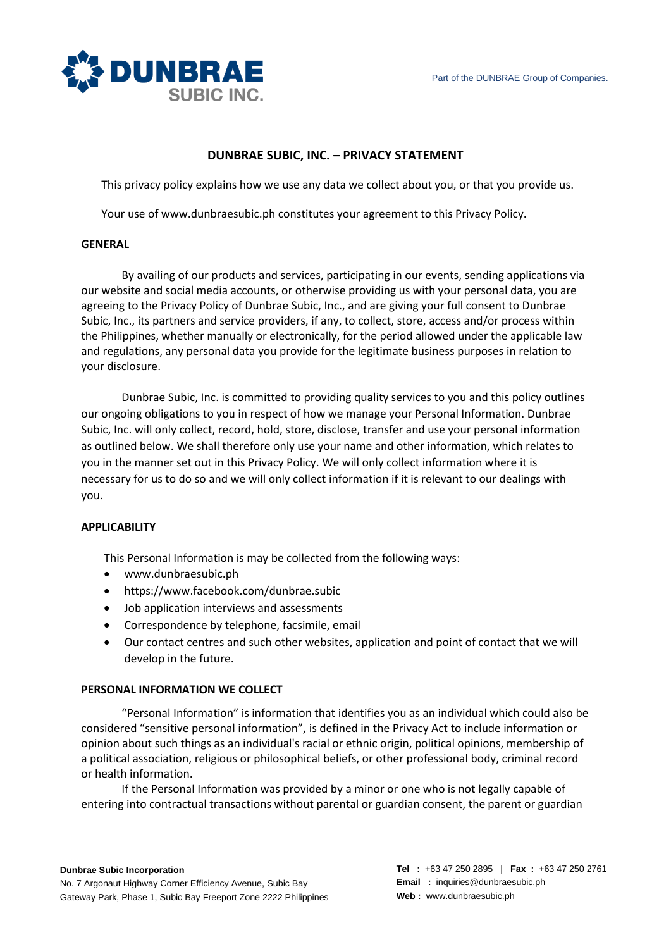

# **DUNBRAE SUBIC, INC. – PRIVACY STATEMENT**

This privacy policy explains how we use any data we collect about you, or that you provide us.

Your use of www.dunbraesubic.ph constitutes your agreement to this Privacy Policy.

#### **GENERAL**

By availing of our products and services, participating in our events, sending applications via our website and social media accounts, or otherwise providing us with your personal data, you are agreeing to the Privacy Policy of Dunbrae Subic, Inc., and are giving your full consent to Dunbrae Subic, Inc., its partners and service providers, if any, to collect, store, access and/or process within the Philippines, whether manually or electronically, for the period allowed under the applicable law and regulations, any personal data you provide for the legitimate business purposes in relation to your disclosure.

Dunbrae Subic, Inc. is committed to providing quality services to you and this policy outlines our ongoing obligations to you in respect of how we manage your Personal Information. Dunbrae Subic, Inc. will only collect, record, hold, store, disclose, transfer and use your personal information as outlined below. We shall therefore only use your name and other information, which relates to you in the manner set out in this Privacy Policy. We will only collect information where it is necessary for us to do so and we will only collect information if it is relevant to our dealings with you.

# **APPLICABILITY**

This Personal Information is may be collected from the following ways:

- [www.dunbraesubic.ph](http://www.dunbraesubic.ph/)
- <https://www.facebook.com/dunbrae.subic>
- Job application interviews and assessments
- Correspondence by telephone, facsimile, email
- Our contact centres and such other websites, application and point of contact that we will develop in the future.

#### **PERSONAL INFORMATION WE COLLECT**

"Personal Information" is information that identifies you as an individual which could also be considered "sensitive personal information", is defined in the Privacy Act to include information or opinion about such things as an individual's racial or ethnic origin, political opinions, membership of a political association, religious or philosophical beliefs, or other professional body, criminal record or health information.

If the Personal Information was provided by a minor or one who is not legally capable of entering into contractual transactions without parental or guardian consent, the parent or guardian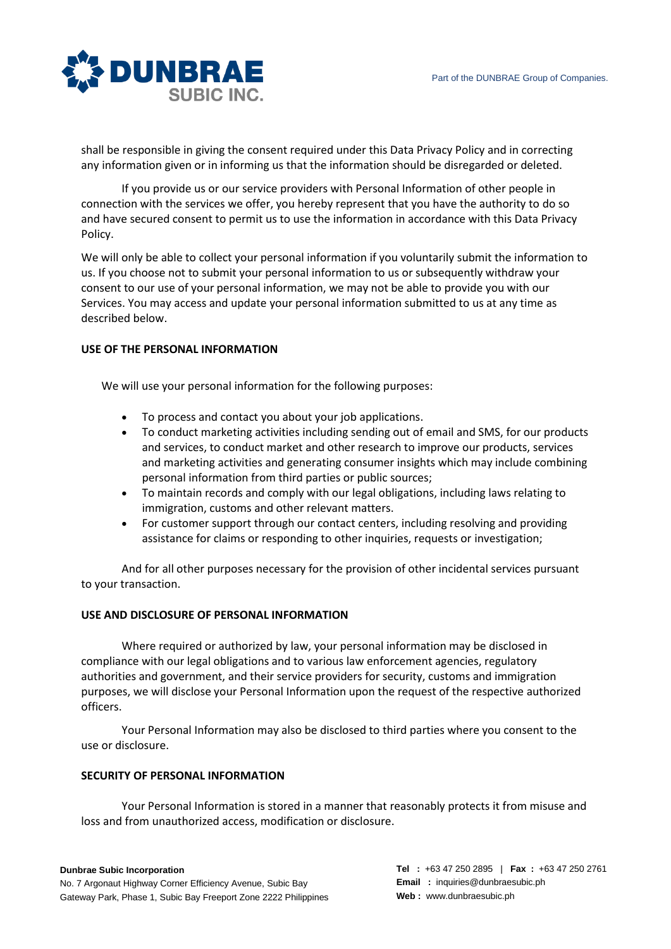

shall be responsible in giving the consent required under this Data Privacy Policy and in correcting any information given or in informing us that the information should be disregarded or deleted.

If you provide us or our service providers with Personal Information of other people in connection with the services we offer, you hereby represent that you have the authority to do so and have secured consent to permit us to use the information in accordance with this Data Privacy Policy.

We will only be able to collect your personal information if you voluntarily submit the information to us. If you choose not to submit your personal information to us or subsequently withdraw your consent to our use of your personal information, we may not be able to provide you with our Services. You may access and update your personal information submitted to us at any time as described below.

# **USE OF THE PERSONAL INFORMATION**

We will use your personal information for the following purposes:

- To process and contact you about your job applications.
- To conduct marketing activities including sending out of email and SMS, for our products and services, to conduct market and other research to improve our products, services and marketing activities and generating consumer insights which may include combining personal information from third parties or public sources;
- To maintain records and comply with our legal obligations, including laws relating to immigration, customs and other relevant matters.
- For customer support through our contact centers, including resolving and providing assistance for claims or responding to other inquiries, requests or investigation;

And for all other purposes necessary for the provision of other incidental services pursuant to your transaction.

# **USE AND DISCLOSURE OF PERSONAL INFORMATION**

Where required or authorized by law, your personal information may be disclosed in compliance with our legal obligations and to various law enforcement agencies, regulatory authorities and government, and their service providers for security, customs and immigration purposes, we will disclose your Personal Information upon the request of the respective authorized officers.

Your Personal Information may also be disclosed to third parties where you consent to the use or disclosure.

### **SECURITY OF PERSONAL INFORMATION**

Your Personal Information is stored in a manner that reasonably protects it from misuse and loss and from unauthorized access, modification or disclosure.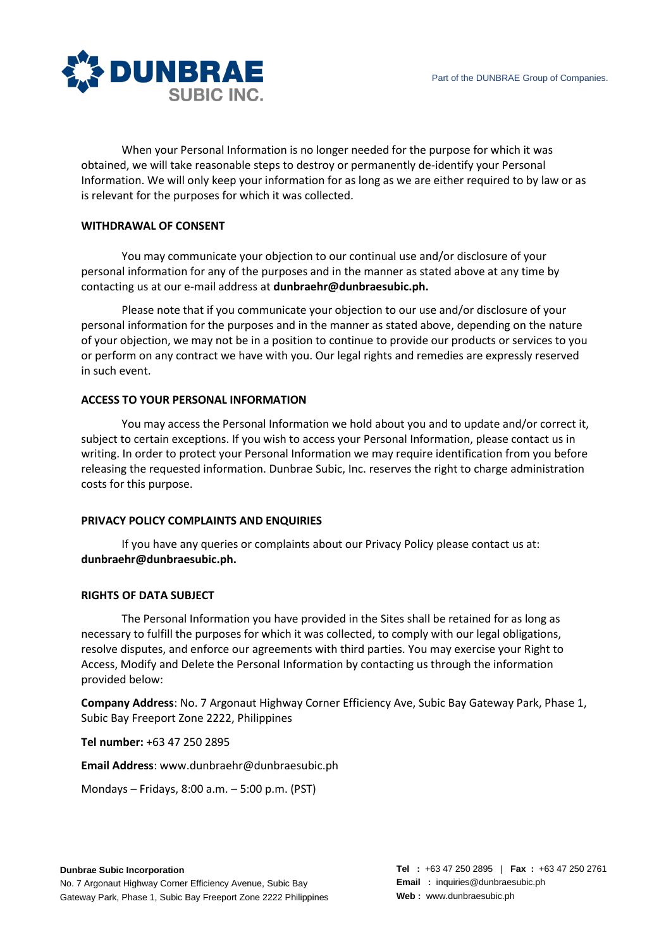

When your Personal Information is no longer needed for the purpose for which it was obtained, we will take reasonable steps to destroy or permanently de-identify your Personal Information. We will only keep your information for as long as we are either required to by law or as is relevant for the purposes for which it was collected.

### **WITHDRAWAL OF CONSENT**

You may communicate your objection to our continual use and/or disclosure of your personal information for any of the purposes and in the manner as stated above at any time by contacting us at our e-mail address at **[dunbraehr@dunbraesubic.ph.](mailto:dunbraehr@dunbraesubic.ph)**

Please note that if you communicate your objection to our use and/or disclosure of your personal information for the purposes and in the manner as stated above, depending on the nature of your objection, we may not be in a position to continue to provide our products or services to you or perform on any contract we have with you. Our legal rights and remedies are expressly reserved in such event.

### **ACCESS TO YOUR PERSONAL INFORMATION**

You may access the Personal Information we hold about you and to update and/or correct it, subject to certain exceptions. If you wish to access your Personal Information, please contact us in writing. In order to protect your Personal Information we may require identification from you before releasing the requested information. Dunbrae Subic, Inc. reserves the right to charge administration costs for this purpose.

#### **PRIVACY POLICY COMPLAINTS AND ENQUIRIES**

If you have any queries or complaints about our Privacy Policy please contact us at: **[dunbraehr@dunbraesubic.ph.](mailto:dunbraehr@dunbraesubic.ph)**

#### **RIGHTS OF DATA SUBJECT**

The Personal Information you have provided in the Sites shall be retained for as long as necessary to fulfill the purposes for which it was collected, to comply with our legal obligations, resolve disputes, and enforce our agreements with third parties. You may exercise your Right to Access, Modify and Delete the Personal Information by contacting us through the information provided below:

**Company Address**: No. 7 Argonaut Highway Corner Efficiency Ave, Subic Bay Gateway Park, Phase 1, Subic Bay Freeport Zone 2222, Philippines

**Tel number:** +63 47 250 2895

**Email Address**: www.dunbraehr[@dunbraesubic.ph](https://www.flyskyjetair.com/privacy-policy/mvillegas@flyskyjetair.com)

Mondays – Fridays, 8:00 a.m. – 5:00 p.m. (PST)